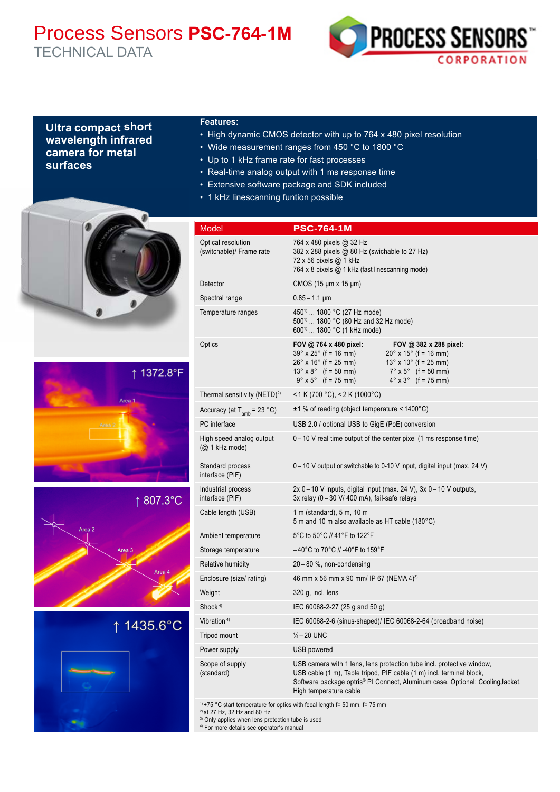# Process Sensors **PSC-764-1M** TECHNICAL DATA



# **Ultra compact short wavelength infrared camera for metal surfaces**

## **Features:**

- High dynamic CMOS detector with up to 764 x 480 pixel resolution
- Wide measurement ranges from 450 °C to 1800 °C
- Up to 1 kHz frame rate for fast processes
- Real-time analog output with 1 ms response time
- Extensive software package and SDK included
- 1 kHz linescanning funtion possible



USB camera with 1 lens, lens protection tube incl. protective window, USB cable (1 m), Table tripod, PIF cable (1 m) incl. terminal block, Software package optris® PI Connect, Aluminum case, Optional: CoolingJacket, High temperature cable

 $19 + 75$  °C start temperature for optics with focal length f= 50 mm, f= 75 mm

2) at 27 Hz, 32 Hz and 80 Hz

(standard)

<sup>3)</sup> Only applies when lens protection tube is used

4) For more details see operator's manual